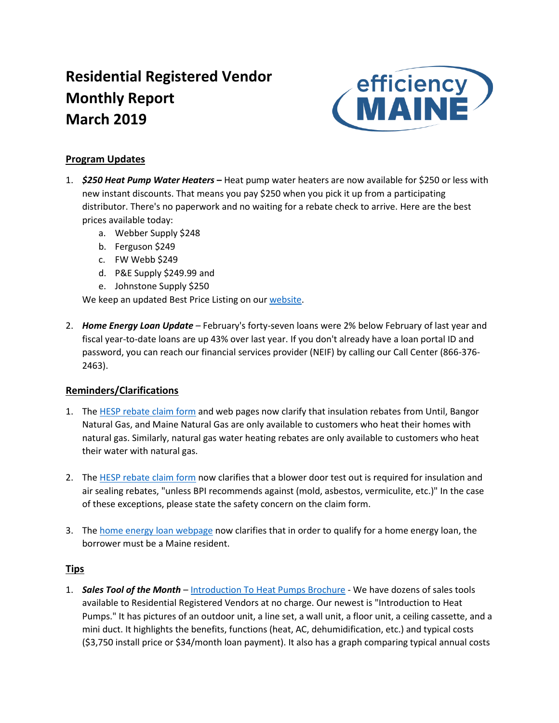# **Residential Registered Vendor Monthly Report March 2019**



## **Program Updates**

- 1. *\$250 Heat Pump Water Heaters* **–** Heat pump water heaters are now available for \$250 or less with new instant discounts. That means you pay \$250 when you pick it up from a participating distributor. There's no paperwork and no waiting for a rebate check to arrive. Here are the best prices available today:
	- a. Webber Supply \$248
	- b. Ferguson \$249
	- c. FW Webb \$249
	- d. P&E Supply \$249.99 and
	- e. Johnstone Supply \$250

We keep an updated Best Price Listing on our [website.](https://www.efficiencymaine.com/docs/EM_HPWH_Deals.pdf)

2. *Home Energy Loan Update* – February's forty-seven loans were 2% below February of last year and fiscal year-to-date loans are up 43% over last year. If you don't already have a loan portal ID and password, you can reach our financial services provider (NEIF) by calling our Call Center (866-376- 2463).

## **Reminders/Clarifications**

- 1. The [HESP rebate claim form](https://www.efficiencymaine.com/docs/HESP-Completion-Form-Universal.pdf) and web pages now clarify that insulation rebates from Until, Bangor Natural Gas, and Maine Natural Gas are only available to customers who heat their homes with natural gas. Similarly, natural gas water heating rebates are only available to customers who heat their water with natural gas.
- 2. The [HESP rebate claim form](https://www.efficiencymaine.com/docs/HESP-Completion-Form-Universal.pdf) now clarifies that a blower door test out is required for insulation and air sealing rebates, "unless BPI recommends against (mold, asbestos, vermiculite, etc.)" In the case of these exceptions, please state the safety concern on the claim form.
- 3. The [home energy loan webpage](https://www.efficiencymaine.com/at-home/energy-loans/) now clarifies that in order to qualify for a home energy loan, the borrower must be a Maine resident.

### **Tips**

1. *Sales Tool of the Month* – [Introduction To Heat Pumps Brochure](https://www.efficiencymaine.com/docs/Heat-Pump-Technology-Brochure.pdf) - We have dozens of sales tools available to Residential Registered Vendors at no charge. Our newest is "Introduction to Heat Pumps." It has pictures of an outdoor unit, a line set, a wall unit, a floor unit, a ceiling cassette, and a mini duct. It highlights the benefits, functions (heat, AC, dehumidification, etc.) and typical costs (\$3,750 install price or \$34/month loan payment). It also has a graph comparing typical annual costs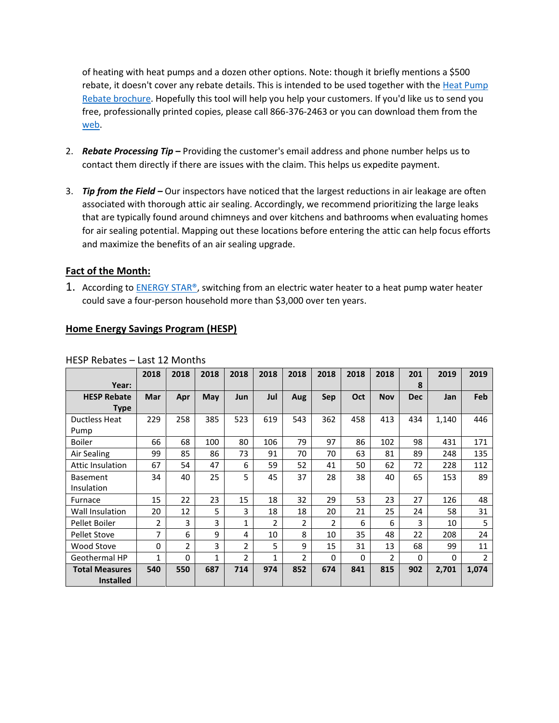of heating with heat pumps and a dozen other options. Note: though it briefly mentions a \$500 rebate, it doesn't cover any rebate details. This is intended to be used together with the Heat Pump [Rebate brochure.](https://www.efficiencymaine.com/docs/EM-Heat-Pump-TriFold_v2_Web.pdf) Hopefully this tool will help you help your customers. If you'd like us to send you free, professionally printed copies, please call 866-376-2463 or you can download them from the [web.](https://www.efficiencymaine.com/docs/Heat-Pump-Technology-Brochure.pdf)

- 2. *Rebate Processing Tip* **–** Providing the customer's email address and phone number helps us to contact them directly if there are issues with the claim. This helps us expedite payment.
- 3. *Tip from the Field –* Our inspectors have noticed that the largest reductions in air leakage are often associated with thorough attic air sealing. Accordingly, we recommend prioritizing the large leaks that are typically found around chimneys and over kitchens and bathrooms when evaluating homes for air sealing potential. Mapping out these locations before entering the attic can help focus efforts and maximize the benefits of an air sealing upgrade.

### **Fact of the Month:**

1. According to ENERGY STAR<sup>®</sup>, switching from an electric water heater to a heat pump water heater could save a four-person household more than \$3,000 over ten years.

| HESP Rebates – Last 12 Months             |      |                |              |                |              |      |          |          |            |            |       |       |
|-------------------------------------------|------|----------------|--------------|----------------|--------------|------|----------|----------|------------|------------|-------|-------|
|                                           | 2018 | 2018           | 2018         | 2018           | 2018         | 2018 | 2018     | 2018     | 2018       | 201        | 2019  | 2019  |
| Year:                                     |      |                |              |                |              |      |          |          |            | 8          |       |       |
| <b>HESP Rebate</b>                        | Mar  | Apr            | May          | Jun            | Jul          | Aug  | Sep      | Oct      | <b>Nov</b> | <b>Dec</b> | Jan   | Feb   |
| <b>Type</b>                               |      |                |              |                |              |      |          |          |            |            |       |       |
| Ductless Heat                             | 229  | 258            | 385          | 523            | 619          | 543  | 362      | 458      | 413        | 434        | 1,140 | 446   |
| Pump                                      |      |                |              |                |              |      |          |          |            |            |       |       |
| <b>Boiler</b>                             | 66   | 68             | 100          | 80             | 106          | 79   | 97       | 86       | 102        | 98         | 431   | 171   |
| Air Sealing                               | 99   | 85             | 86           | 73             | 91           | 70   | 70       | 63       | 81         | 89         | 248   | 135   |
| <b>Attic Insulation</b>                   | 67   | 54             | 47           | 6              | 59           | 52   | 41       | 50       | 62         | 72         | 228   | 112   |
| <b>Basement</b>                           | 34   | 40             | 25           | 5              | 45           | 37   | 28       | 38       | 40         | 65         | 153   | 89    |
| Insulation                                |      |                |              |                |              |      |          |          |            |            |       |       |
| Furnace                                   | 15   | 22             | 23           | 15             | 18           | 32   | 29       | 53       | 23         | 27         | 126   | 48    |
| Wall Insulation                           | 20   | 12             | 5            | 3              | 18           | 18   | 20       | 21       | 25         | 24         | 58    | 31    |
| Pellet Boiler                             | 2    | 3              | 3            | 1              | 2            | 2    | 2        | 6        | 6          | 3          | 10    | 5     |
| <b>Pellet Stove</b>                       | 7    | 6              | 9            | 4              | 10           | 8    | 10       | 35       | 48         | 22         | 208   | 24    |
| Wood Stove                                | 0    | $\overline{2}$ | 3            | $\overline{2}$ | 5            | 9    | 15       | 31       | 13         | 68         | 99    | 11    |
| Geothermal HP                             | 1    | 0              | $\mathbf{1}$ | $\overline{2}$ | $\mathbf{1}$ | 2    | $\Omega$ | $\Omega$ | 2          | 0          | 0     | 2     |
| <b>Total Measures</b><br><b>Installed</b> | 540  | 550            | 687          | 714            | 974          | 852  | 674      | 841      | 815        | 902        | 2,701 | 1,074 |

### **Home Energy Savings Program (HESP)**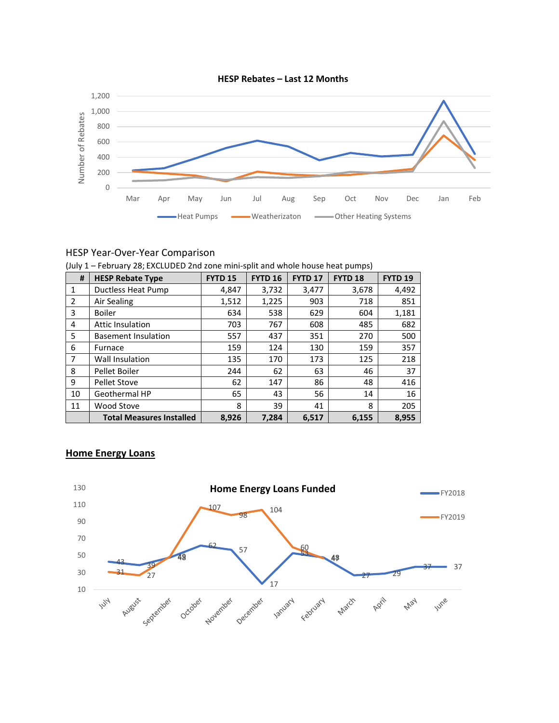

## HESP Year-Over-Year Comparison

(July 1 – February 28; EXCLUDED 2nd zone mini-split and whole house heat pumps)

| #             | <b>HESP Rebate Type</b>         | <b>FYTD 15</b> | <b>FYTD 16</b> | <b>FYTD 17</b> | <b>FYTD 18</b> | <b>FYTD 19</b> |
|---------------|---------------------------------|----------------|----------------|----------------|----------------|----------------|
| 1             | Ductless Heat Pump              | 4,847          | 3,732          | 3,477          | 3,678          | 4,492          |
| $\mathcal{P}$ | Air Sealing                     | 1,512          | 1,225          | 903            | 718            | 851            |
| 3             | <b>Boiler</b>                   | 634            | 538            | 629            | 604            | 1,181          |
| 4             | Attic Insulation                | 703            | 767            | 608            | 485            | 682            |
| 5             | <b>Basement Insulation</b>      | 557            | 437            | 351            | 270            | 500            |
| 6             | Furnace                         | 159            | 124            | 130            | 159            | 357            |
| 7             | <b>Wall Insulation</b>          | 135            | 170            | 173            | 125            | 218            |
| 8             | Pellet Boiler                   | 244            | 62             | 63             | 46             | 37             |
| 9             | Pellet Stove                    | 62             | 147            | 86             | 48             | 416            |
| 10            | Geothermal HP                   | 65             | 43             | 56             | 14             | 16             |
| 11            | <b>Wood Stove</b>               | 8              | 39             | 41             | 8              | 205            |
|               | <b>Total Measures Installed</b> | 8,926          | 7,284          | 6,517          | 6,155          | 8,955          |

## **Home Energy Loans**